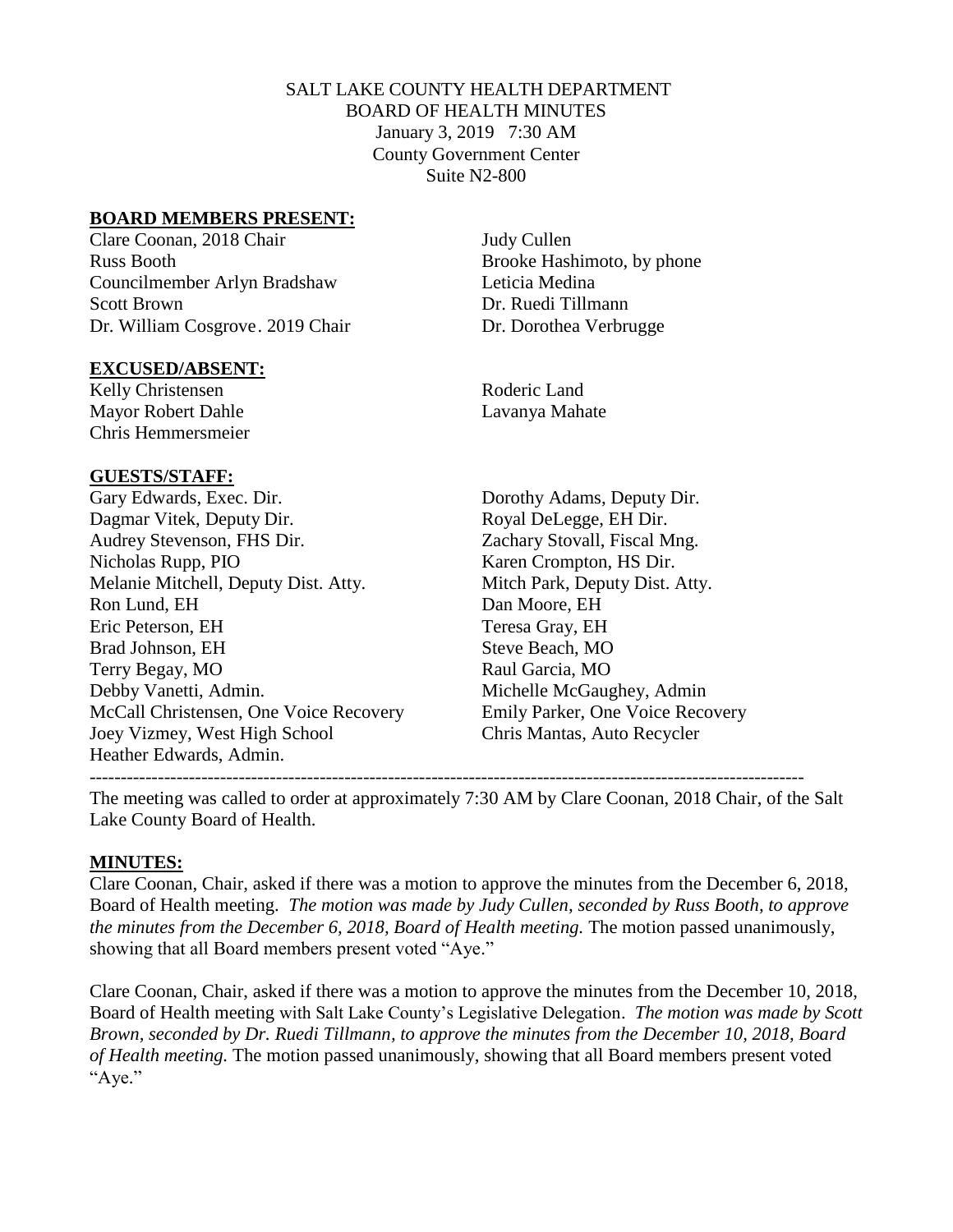# SALT LAKE COUNTY HEALTH DEPARTMENT BOARD OF HEALTH MINUTES January 3, 2019 7:30 AM County Government Center Suite N2-800

# **BOARD MEMBERS PRESENT:**

Clare Coonan, 2018 Chair Judy Cullen Russ Booth Brooke Hashimoto, by phone Councilmember Arlyn Bradshaw Leticia Medina Scott Brown Dr. Ruedi Tillmann Dr. William Cosgrove. 2019 Chair Dr. Dorothea Verbrugge

#### **EXCUSED/ABSENT:**

Kelly Christensen Roderic Land Mayor Robert Dahle Lavanya Mahate Chris Hemmersmeier

# **GUESTS/STAFF:**

Gary Edwards, Exec. Dir. Dorothy Adams, Deputy Dir. Dagmar Vitek, Deputy Dir. Royal DeLegge, EH Dir. Audrey Stevenson, FHS Dir. Zachary Stovall, Fiscal Mng. Nicholas Rupp, PIO Karen Crompton, HS Dir. Melanie Mitchell, Deputy Dist. Atty. Mitch Park, Deputy Dist. Atty. Ron Lund, EH Dan Moore, EH Eric Peterson, EH Teresa Gray, EH Brad Johnson, EH Steve Beach, MO Terry Begay, MO Raul Garcia, MO Debby Vanetti, Admin. Michelle McGaughey, Admin McCall Christensen, One Voice Recovery Emily Parker, One Voice Recovery Joey Vizmey, West High School Chris Mantas, Auto Recycler Heather Edwards, Admin.

-------------------------------------------------------------------------------------------------------------------

The meeting was called to order at approximately 7:30 AM by Clare Coonan, 2018 Chair, of the Salt Lake County Board of Health.

# **MINUTES:**

Clare Coonan, Chair, asked if there was a motion to approve the minutes from the December 6, 2018, Board of Health meeting. *The motion was made by Judy Cullen, seconded by Russ Booth, to approve the minutes from the December 6, 2018, Board of Health meeting.* The motion passed unanimously, showing that all Board members present voted "Aye."

Clare Coonan, Chair, asked if there was a motion to approve the minutes from the December 10, 2018, Board of Health meeting with Salt Lake County's Legislative Delegation. *The motion was made by Scott Brown, seconded by Dr. Ruedi Tillmann, to approve the minutes from the December 10, 2018, Board of Health meeting.* The motion passed unanimously, showing that all Board members present voted "Aye."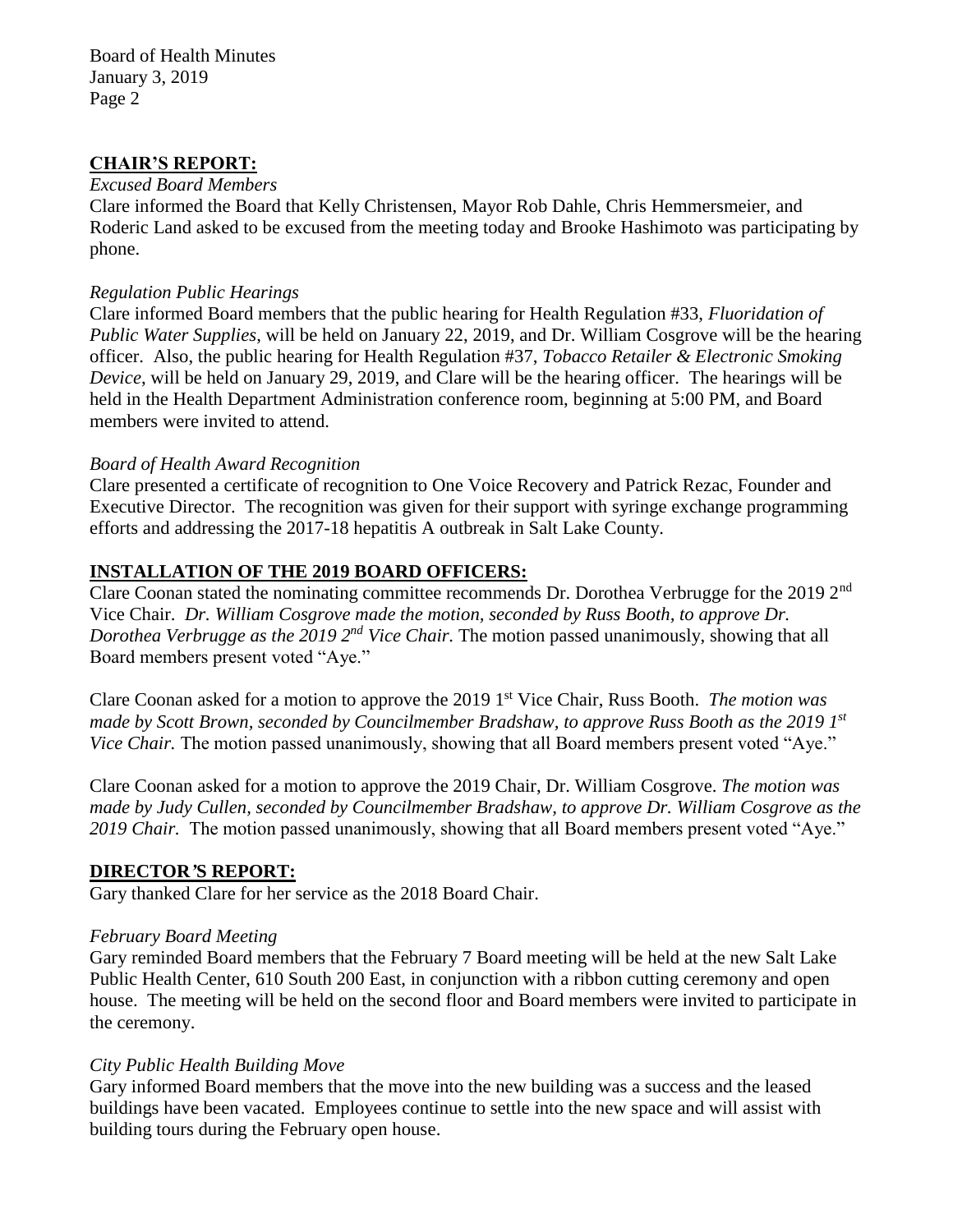#### **CHAIR'S REPORT:**

#### *Excused Board Members*

Clare informed the Board that Kelly Christensen, Mayor Rob Dahle, Chris Hemmersmeier, and Roderic Land asked to be excused from the meeting today and Brooke Hashimoto was participating by phone.

#### *Regulation Public Hearings*

Clare informed Board members that the public hearing for Health Regulation #33, *Fluoridation of Public Water Supplies*, will be held on January 22, 2019, and Dr. William Cosgrove will be the hearing officer. Also, the public hearing for Health Regulation #37, *Tobacco Retailer & Electronic Smoking Device*, will be held on January 29, 2019, and Clare will be the hearing officer. The hearings will be held in the Health Department Administration conference room, beginning at 5:00 PM, and Board members were invited to attend.

#### *Board of Health Award Recognition*

Clare presented a certificate of recognition to One Voice Recovery and Patrick Rezac, Founder and Executive Director. The recognition was given for their support with syringe exchange programming efforts and addressing the 2017-18 hepatitis A outbreak in Salt Lake County.

# **INSTALLATION OF THE 2019 BOARD OFFICERS:**

Clare Coonan stated the nominating committee recommends Dr. Dorothea Verbrugge for the 2019 2nd Vice Chair. *Dr. William Cosgrove made the motion, seconded by Russ Booth, to approve Dr.*  Dorothea Verbrugge as the 2019 2<sup>nd</sup> Vice Chair. The motion passed unanimously, showing that all Board members present voted "Aye."

Clare Coonan asked for a motion to approve the 2019 1 st Vice Chair, Russ Booth. *The motion was made by Scott Brown, seconded by Councilmember Bradshaw, to approve Russ Booth as the 2019 1 st Vice Chair.* The motion passed unanimously, showing that all Board members present voted "Aye."

Clare Coonan asked for a motion to approve the 2019 Chair, Dr. William Cosgrove. *The motion was made by Judy Cullen, seconded by Councilmember Bradshaw, to approve Dr. William Cosgrove as the 2019 Chair.* The motion passed unanimously, showing that all Board members present voted "Aye."

#### **DIRECTOR***'***S REPORT:**

Gary thanked Clare for her service as the 2018 Board Chair.

#### *February Board Meeting*

Gary reminded Board members that the February 7 Board meeting will be held at the new Salt Lake Public Health Center, 610 South 200 East, in conjunction with a ribbon cutting ceremony and open house. The meeting will be held on the second floor and Board members were invited to participate in the ceremony.

#### *City Public Health Building Move*

Gary informed Board members that the move into the new building was a success and the leased buildings have been vacated. Employees continue to settle into the new space and will assist with building tours during the February open house.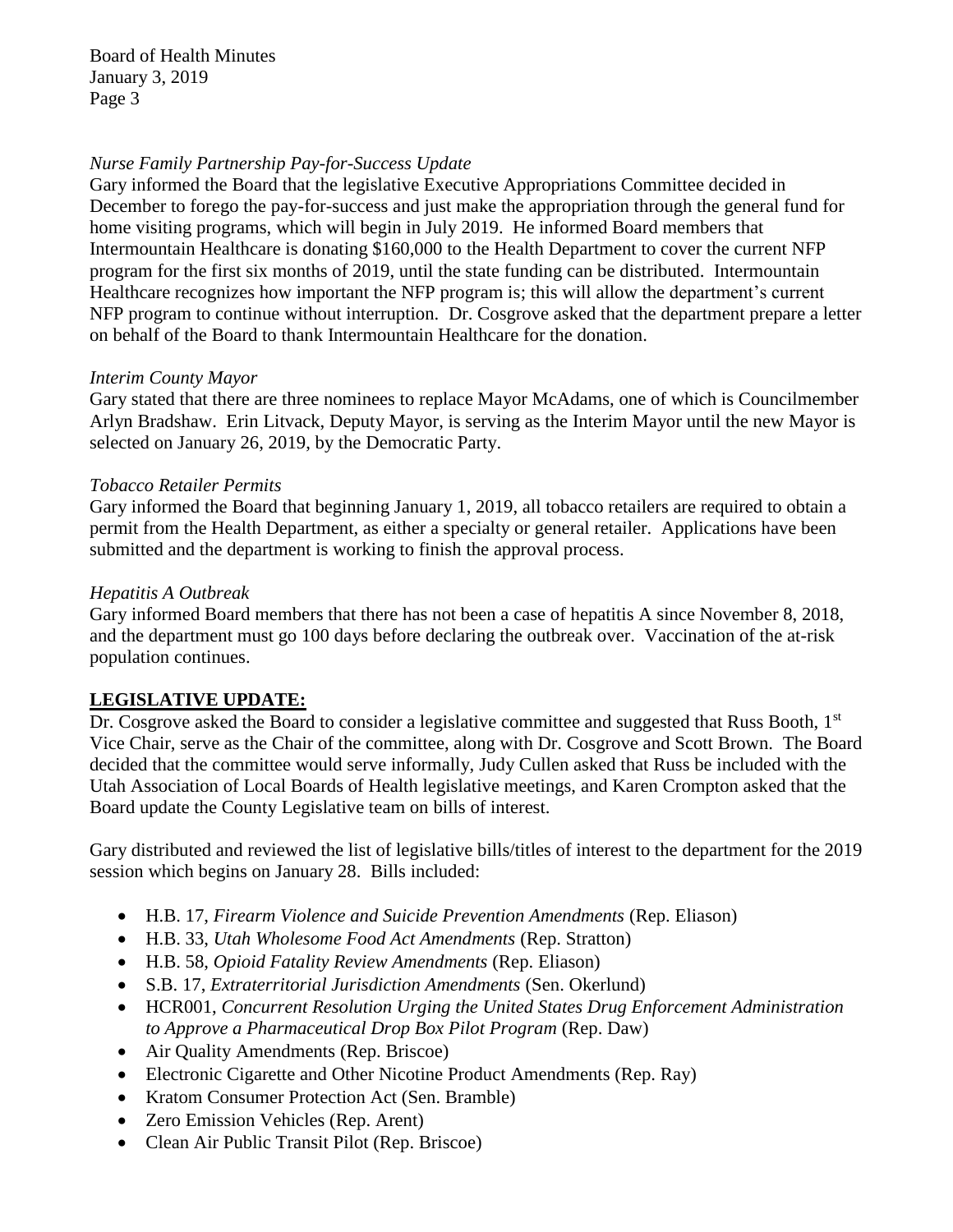# *Nurse Family Partnership Pay-for-Success Update*

Gary informed the Board that the legislative Executive Appropriations Committee decided in December to forego the pay-for-success and just make the appropriation through the general fund for home visiting programs, which will begin in July 2019. He informed Board members that Intermountain Healthcare is donating \$160,000 to the Health Department to cover the current NFP program for the first six months of 2019, until the state funding can be distributed. Intermountain Healthcare recognizes how important the NFP program is; this will allow the department's current NFP program to continue without interruption. Dr. Cosgrove asked that the department prepare a letter on behalf of the Board to thank Intermountain Healthcare for the donation.

# *Interim County Mayor*

Gary stated that there are three nominees to replace Mayor McAdams, one of which is Councilmember Arlyn Bradshaw. Erin Litvack, Deputy Mayor, is serving as the Interim Mayor until the new Mayor is selected on January 26, 2019, by the Democratic Party.

# *Tobacco Retailer Permits*

Gary informed the Board that beginning January 1, 2019, all tobacco retailers are required to obtain a permit from the Health Department, as either a specialty or general retailer. Applications have been submitted and the department is working to finish the approval process.

# *Hepatitis A Outbreak*

Gary informed Board members that there has not been a case of hepatitis A since November 8, 2018, and the department must go 100 days before declaring the outbreak over. Vaccination of the at-risk population continues.

# **LEGISLATIVE UPDATE:**

Dr. Cosgrove asked the Board to consider a legislative committee and suggested that Russ Booth,  $1<sup>st</sup>$ Vice Chair, serve as the Chair of the committee, along with Dr. Cosgrove and Scott Brown. The Board decided that the committee would serve informally, Judy Cullen asked that Russ be included with the Utah Association of Local Boards of Health legislative meetings, and Karen Crompton asked that the Board update the County Legislative team on bills of interest.

Gary distributed and reviewed the list of legislative bills/titles of interest to the department for the 2019 session which begins on January 28. Bills included:

- H.B. 17, *Firearm Violence and Suicide Prevention Amendments* (Rep. Eliason)
- H.B. 33, *Utah Wholesome Food Act Amendments* (Rep. Stratton)
- H.B. 58, *Opioid Fatality Review Amendments* (Rep. Eliason)
- S.B. 17, *Extraterritorial Jurisdiction Amendments* (Sen. Okerlund)
- HCR001, *Concurrent Resolution Urging the United States Drug Enforcement Administration to Approve a Pharmaceutical Drop Box Pilot Program* (Rep. Daw)
- Air Quality Amendments (Rep. Briscoe)
- Electronic Cigarette and Other Nicotine Product Amendments (Rep. Ray)
- Kratom Consumer Protection Act (Sen. Bramble)
- Zero Emission Vehicles (Rep. Arent)
- Clean Air Public Transit Pilot (Rep. Briscoe)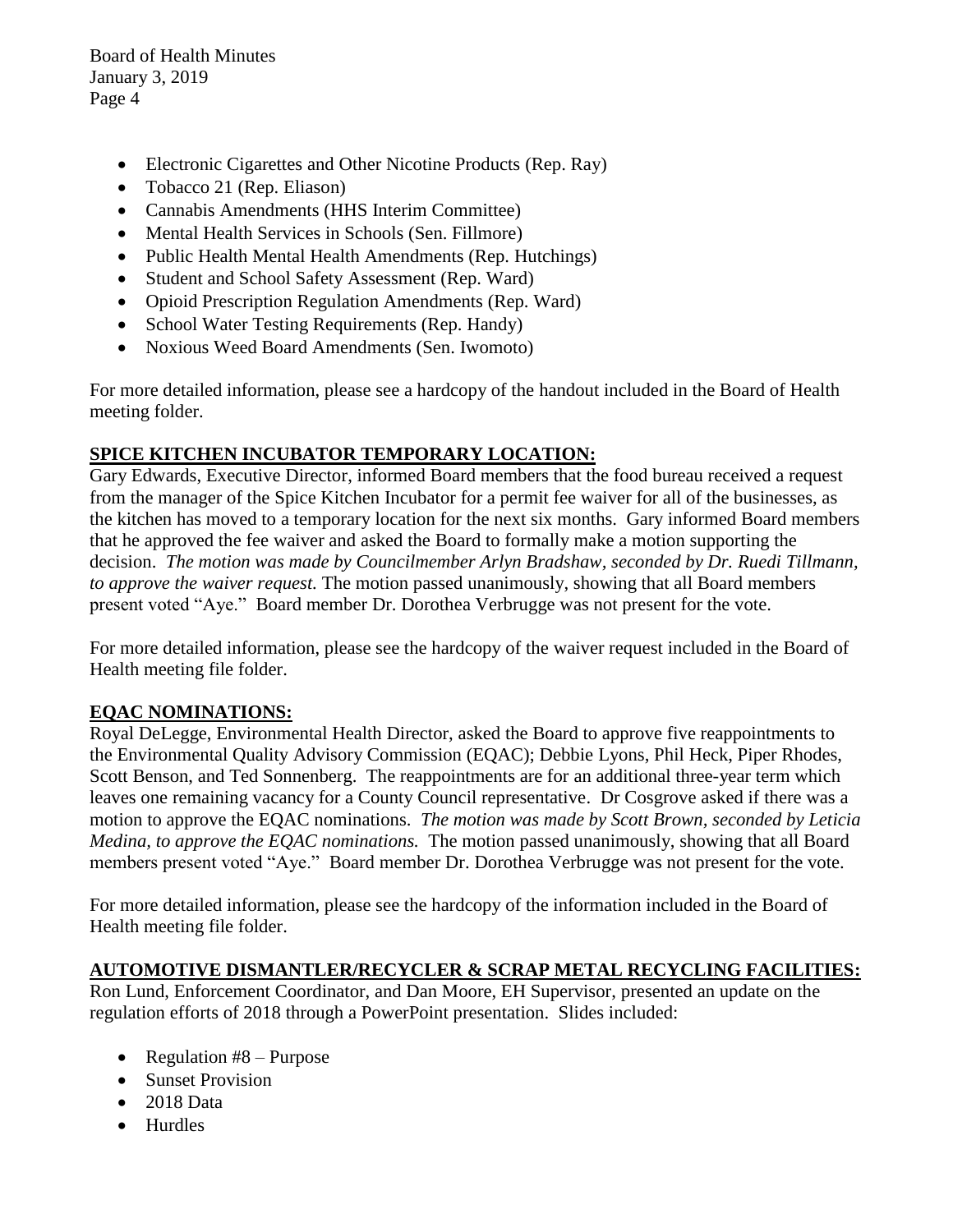- Electronic Cigarettes and Other Nicotine Products (Rep. Ray)
- Tobacco 21 (Rep. Eliason)
- Cannabis Amendments (HHS Interim Committee)
- Mental Health Services in Schools (Sen. Fillmore)
- Public Health Mental Health Amendments (Rep. Hutchings)
- Student and School Safety Assessment (Rep. Ward)
- Opioid Prescription Regulation Amendments (Rep. Ward)
- School Water Testing Requirements (Rep. Handy)
- Noxious Weed Board Amendments (Sen. Iwomoto)

For more detailed information, please see a hardcopy of the handout included in the Board of Health meeting folder.

# **SPICE KITCHEN INCUBATOR TEMPORARY LOCATION:**

Gary Edwards, Executive Director, informed Board members that the food bureau received a request from the manager of the Spice Kitchen Incubator for a permit fee waiver for all of the businesses, as the kitchen has moved to a temporary location for the next six months. Gary informed Board members that he approved the fee waiver and asked the Board to formally make a motion supporting the decision. *The motion was made by Councilmember Arlyn Bradshaw, seconded by Dr. Ruedi Tillmann, to approve the waiver request.* The motion passed unanimously, showing that all Board members present voted "Aye." Board member Dr. Dorothea Verbrugge was not present for the vote.

For more detailed information, please see the hardcopy of the waiver request included in the Board of Health meeting file folder.

# **EQAC NOMINATIONS:**

Royal DeLegge, Environmental Health Director, asked the Board to approve five reappointments to the Environmental Quality Advisory Commission (EQAC); Debbie Lyons, Phil Heck, Piper Rhodes, Scott Benson, and Ted Sonnenberg. The reappointments are for an additional three-year term which leaves one remaining vacancy for a County Council representative. Dr Cosgrove asked if there was a motion to approve the EQAC nominations. *The motion was made by Scott Brown, seconded by Leticia Medina, to approve the EQAC nominations.* The motion passed unanimously, showing that all Board members present voted "Aye." Board member Dr. Dorothea Verbrugge was not present for the vote.

For more detailed information, please see the hardcopy of the information included in the Board of Health meeting file folder.

# **AUTOMOTIVE DISMANTLER/RECYCLER & SCRAP METAL RECYCLING FACILITIES:**

Ron Lund, Enforcement Coordinator, and Dan Moore, EH Supervisor, presented an update on the regulation efforts of 2018 through a PowerPoint presentation. Slides included:

- Regulation  $#8$  Purpose
- Sunset Provision
- 2018 Data
- Hurdles